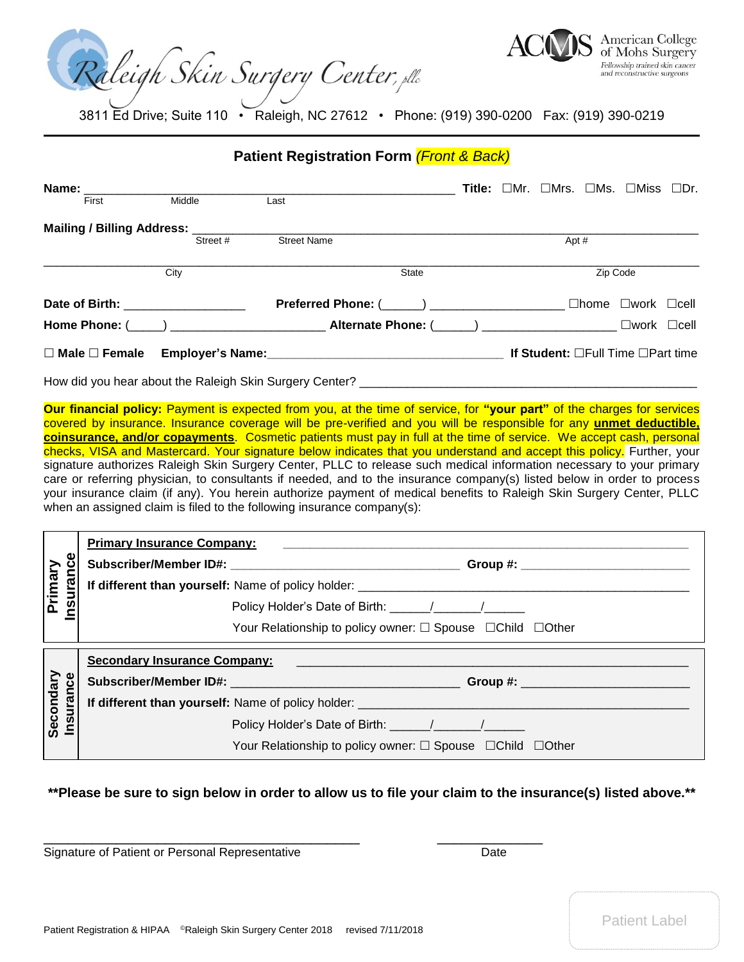Raleigh Skin Surgery Center, elle



3811 Ed Drive; Suite 110 • Raleigh, NC 27612 • Phone: (919) 390-0200 Fax: (919) 390-0219

**Patient Registration Form** *(Front & Back)*

| Name: _____                       |          |                                                                                                                                                                                                                               |  |      |          | <b>Title:</b> $\Box$ Mr. $\Box$ Mrs. $\Box$ Ms. $\Box$ Miss $\Box$ Dr. |  |
|-----------------------------------|----------|-------------------------------------------------------------------------------------------------------------------------------------------------------------------------------------------------------------------------------|--|------|----------|------------------------------------------------------------------------|--|
| First                             | Middle   | Last                                                                                                                                                                                                                          |  |      |          |                                                                        |  |
|                                   |          |                                                                                                                                                                                                                               |  |      |          |                                                                        |  |
|                                   | Street # | <b>Street Name</b>                                                                                                                                                                                                            |  | Apt# |          |                                                                        |  |
|                                   | City     | State                                                                                                                                                                                                                         |  |      | Zip Code |                                                                        |  |
| Date of Birth: The Case of Birth: |          |                                                                                                                                                                                                                               |  |      |          | $\Box$ home $\Box$ work $\Box$ cell                                    |  |
|                                   |          | Home Phone: ( ) and Alternate Phone: ( ) and Alternate Phone: ( ) and ( ) and ( ) and ( ) and ( ) and ( ) and ( ) and ( ) and ( ) and ( ) and ( ) and ( ) and ( ) and ( ) and ( ) and ( ) and ( ) and ( ) and ( ) and ( ) and |  |      |          | $\square$ work $\square$ cell                                          |  |
| $\square$ Male $\square$ Female   |          |                                                                                                                                                                                                                               |  |      |          | If Student: $\Box$ Full Time $\Box$ Part time                          |  |

How did you hear about the Raleigh Skin Surgery Center?

**Our financial policy:** Payment is expected from you, at the time of service, for **"your part"** of the charges for services covered by insurance. Insurance coverage will be pre-verified and you will be responsible for any **unmet deductible, coinsurance, and/or copayments**. Cosmetic patients must pay in full at the time of service. We accept cash, personal checks, VISA and Mastercard. Your signature below indicates that you understand and accept this policy. Further, your signature authorizes Raleigh Skin Surgery Center, PLLC to release such medical information necessary to your primary care or referring physician, to consultants if needed, and to the insurance company(s) listed below in order to process your insurance claim (if any). You herein authorize payment of medical benefits to Raleigh Skin Surgery Center, PLLC when an assigned claim is filed to the following insurance company(s):

|                        | <b>Primary Insurance Company:</b> |                                                                                                                                                                                                                                |
|------------------------|-----------------------------------|--------------------------------------------------------------------------------------------------------------------------------------------------------------------------------------------------------------------------------|
|                        |                                   |                                                                                                                                                                                                                                |
| Primary<br>nsuran      |                                   |                                                                                                                                                                                                                                |
|                        |                                   | Policy Holder's Date of Birth: \[\sqrtdgg \] \]                                                                                                                                                                                |
|                        |                                   | Your Relationship to policy owner: □ Spouse □ Child □ Other                                                                                                                                                                    |
|                        |                                   |                                                                                                                                                                                                                                |
|                        |                                   | Secondary Insurance Company: 2006 and 2007 and 2008 and 2008 and 2008 and 2008 and 2008 and 2008 and 2008 and 2008 and 2008 and 2008 and 2008 and 2008 and 2008 and 2008 and 2008 and 2008 and 2008 and 2008 and 2008 and 2008 |
|                        |                                   |                                                                                                                                                                                                                                |
|                        |                                   |                                                                                                                                                                                                                                |
| Secondary<br>Insurance |                                   | Policy Holder's Date of Birth: 1 1 1                                                                                                                                                                                           |

**\*\*Please be sure to sign below in order to allow us to file your claim to the insurance(s) listed above.\*\***

Signature of Patient or Personal Representative **Date** Date

\_\_\_\_\_\_\_\_\_\_\_\_\_\_\_\_\_\_\_\_\_\_\_\_\_\_\_\_\_\_\_\_\_\_\_\_\_\_\_ \_\_\_\_\_\_\_\_\_\_\_\_\_